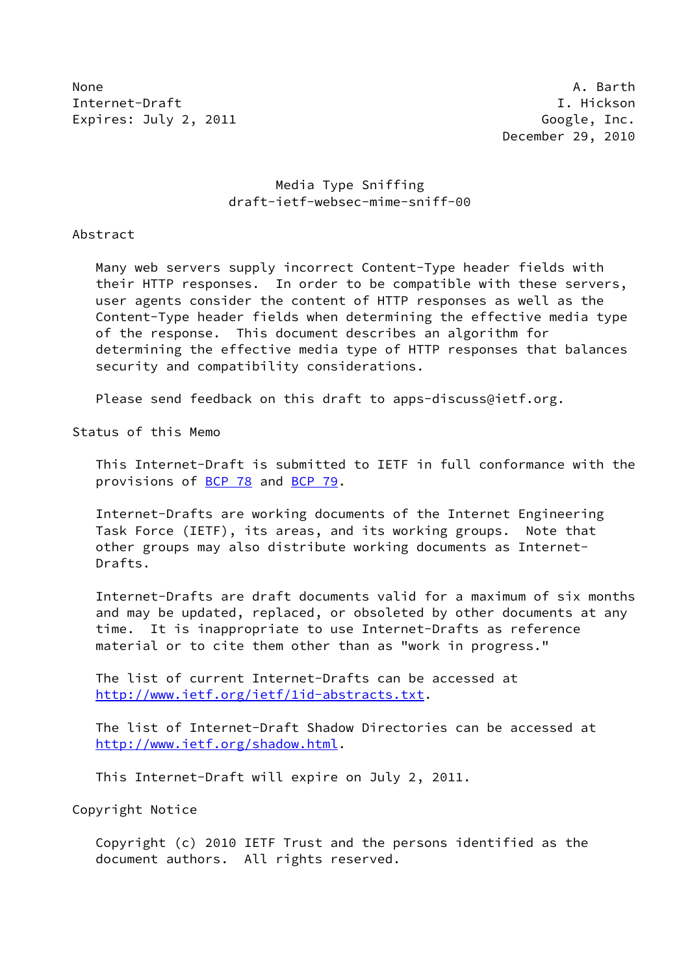None A. Barth Internet-Draft I. Hickson Expires: July 2, 2011 Constants and the Constants of Google, Inc.

# Media Type Sniffing draft-ietf-websec-mime-sniff-00

Abstract

 Many web servers supply incorrect Content-Type header fields with their HTTP responses. In order to be compatible with these servers, user agents consider the content of HTTP responses as well as the Content-Type header fields when determining the effective media type of the response. This document describes an algorithm for determining the effective media type of HTTP responses that balances security and compatibility considerations.

Please send feedback on this draft to apps-discuss@ietf.org.

Status of this Memo

 This Internet-Draft is submitted to IETF in full conformance with the provisions of [BCP 78](https://datatracker.ietf.org/doc/pdf/bcp78) and [BCP 79](https://datatracker.ietf.org/doc/pdf/bcp79).

 Internet-Drafts are working documents of the Internet Engineering Task Force (IETF), its areas, and its working groups. Note that other groups may also distribute working documents as Internet- Drafts.

 Internet-Drafts are draft documents valid for a maximum of six months and may be updated, replaced, or obsoleted by other documents at any time. It is inappropriate to use Internet-Drafts as reference material or to cite them other than as "work in progress."

 The list of current Internet-Drafts can be accessed at <http://www.ietf.org/ietf/1id-abstracts.txt>.

 The list of Internet-Draft Shadow Directories can be accessed at <http://www.ietf.org/shadow.html>.

This Internet-Draft will expire on July 2, 2011.

Copyright Notice

 Copyright (c) 2010 IETF Trust and the persons identified as the document authors. All rights reserved.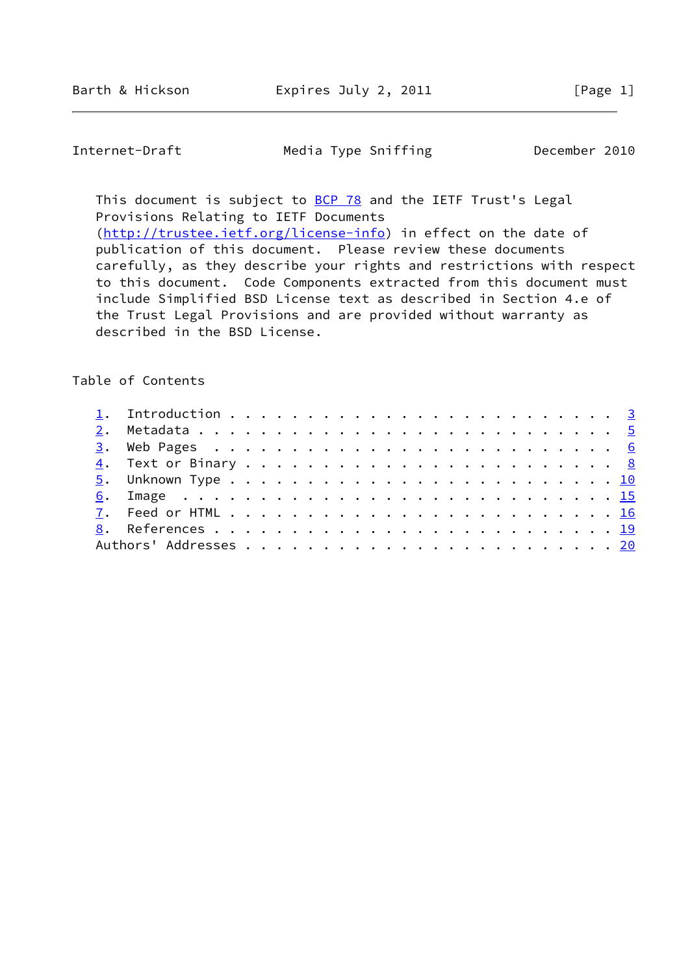Internet-Draft Media Type Sniffing December 2010

This document is subject to **[BCP 78](https://datatracker.ietf.org/doc/pdf/bcp78)** and the IETF Trust's Legal Provisions Relating to IETF Documents [\(http://trustee.ietf.org/license-info](http://trustee.ietf.org/license-info)) in effect on the date of publication of this document. Please review these documents

 carefully, as they describe your rights and restrictions with respect to this document. Code Components extracted from this document must include Simplified BSD License text as described in Section 4.e of the Trust Legal Provisions and are provided without warranty as described in the BSD License.

# Table of Contents

| <u>6</u> . Image <u>15</u> |  |  |  |  |  |  |  |  |  |  |  |  |  |
|----------------------------|--|--|--|--|--|--|--|--|--|--|--|--|--|
|                            |  |  |  |  |  |  |  |  |  |  |  |  |  |
|                            |  |  |  |  |  |  |  |  |  |  |  |  |  |
|                            |  |  |  |  |  |  |  |  |  |  |  |  |  |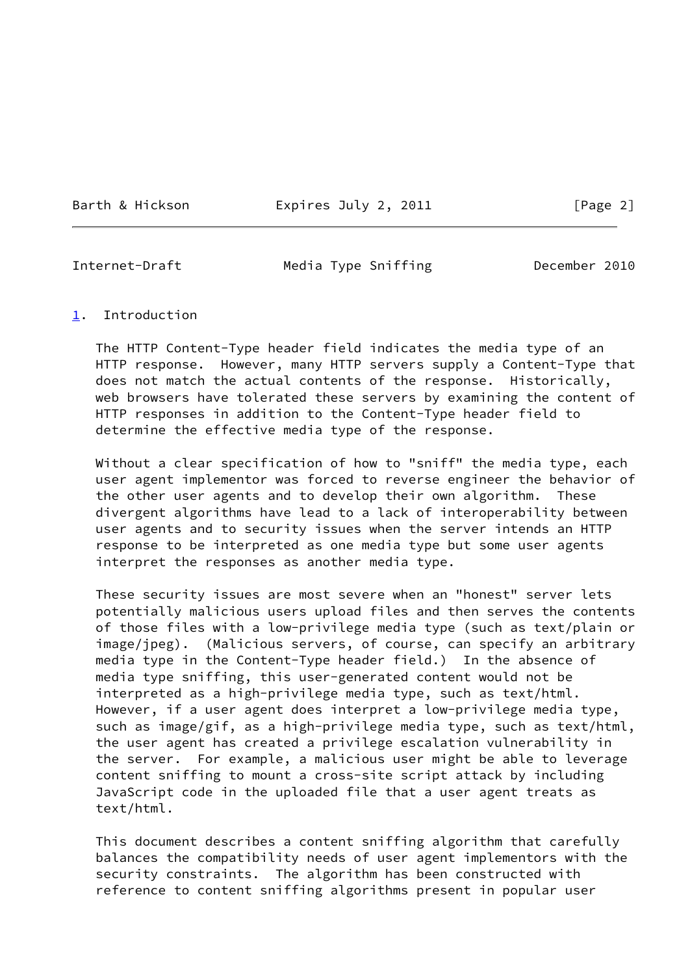Barth & Hickson **Expires July 2, 2011** [Page 2]

<span id="page-2-1"></span>

Internet-Draft Media Type Sniffing December 2010

#### <span id="page-2-0"></span>[1](#page-2-0). Introduction

 The HTTP Content-Type header field indicates the media type of an HTTP response. However, many HTTP servers supply a Content-Type that does not match the actual contents of the response. Historically, web browsers have tolerated these servers by examining the content of HTTP responses in addition to the Content-Type header field to determine the effective media type of the response.

 Without a clear specification of how to "sniff" the media type, each user agent implementor was forced to reverse engineer the behavior of the other user agents and to develop their own algorithm. These divergent algorithms have lead to a lack of interoperability between user agents and to security issues when the server intends an HTTP response to be interpreted as one media type but some user agents interpret the responses as another media type.

 These security issues are most severe when an "honest" server lets potentially malicious users upload files and then serves the contents of those files with a low-privilege media type (such as text/plain or image/jpeg). (Malicious servers, of course, can specify an arbitrary media type in the Content-Type header field.) In the absence of media type sniffing, this user-generated content would not be interpreted as a high-privilege media type, such as text/html. However, if a user agent does interpret a low-privilege media type, such as image/gif, as a high-privilege media type, such as text/html, the user agent has created a privilege escalation vulnerability in the server. For example, a malicious user might be able to leverage content sniffing to mount a cross-site script attack by including JavaScript code in the uploaded file that a user agent treats as text/html.

 This document describes a content sniffing algorithm that carefully balances the compatibility needs of user agent implementors with the security constraints. The algorithm has been constructed with reference to content sniffing algorithms present in popular user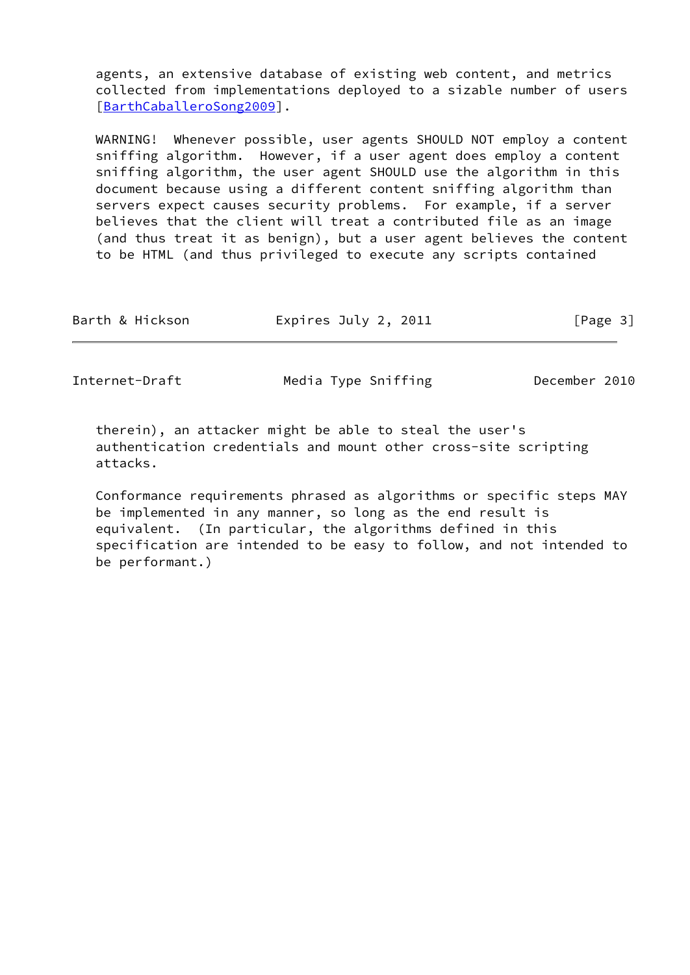agents, an extensive database of existing web content, and metrics collected from implementations deployed to a sizable number of users [\[BarthCaballeroSong2009](#page-20-2)].

 WARNING! Whenever possible, user agents SHOULD NOT employ a content sniffing algorithm. However, if a user agent does employ a content sniffing algorithm, the user agent SHOULD use the algorithm in this document because using a different content sniffing algorithm than servers expect causes security problems. For example, if a server believes that the client will treat a contributed file as an image (and thus treat it as benign), but a user agent believes the content to be HTML (and thus privileged to execute any scripts contained

| Expires July 2, 2011<br>Barth & Hickson | [Page 3] |
|-----------------------------------------|----------|
|-----------------------------------------|----------|

Internet-Draft Media Type Sniffing December 2010

 therein), an attacker might be able to steal the user's authentication credentials and mount other cross-site scripting attacks.

 Conformance requirements phrased as algorithms or specific steps MAY be implemented in any manner, so long as the end result is equivalent. (In particular, the algorithms defined in this specification are intended to be easy to follow, and not intended to be performant.)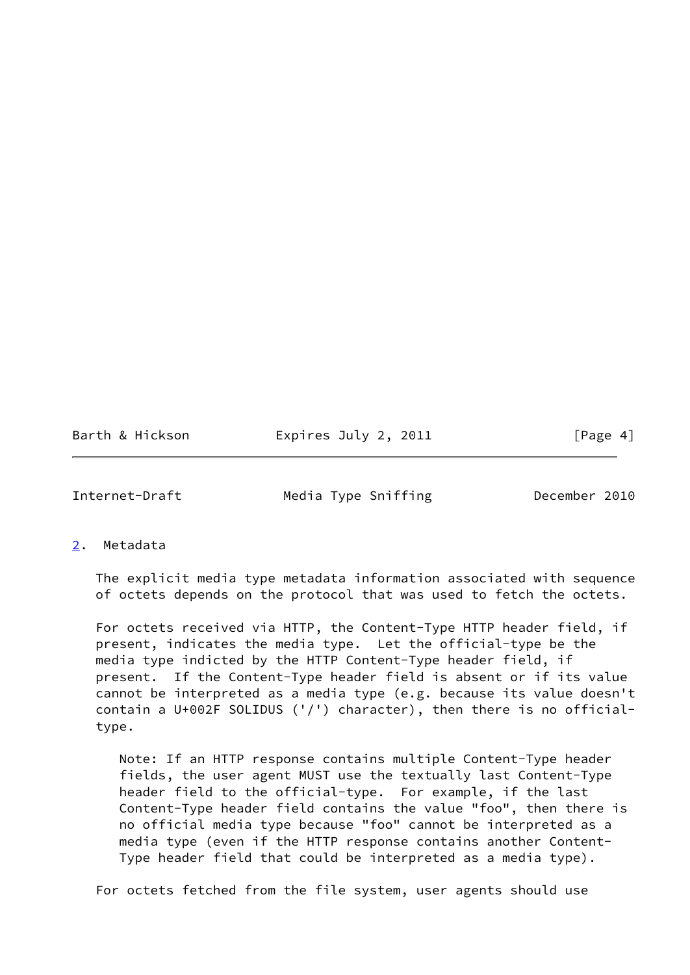Barth & Hickson **Expires July 2, 2011** [Page 4]

<span id="page-4-1"></span>Internet-Draft Media Type Sniffing December 2010

<span id="page-4-0"></span>[2](#page-4-0). Metadata

 The explicit media type metadata information associated with sequence of octets depends on the protocol that was used to fetch the octets.

 For octets received via HTTP, the Content-Type HTTP header field, if present, indicates the media type. Let the official-type be the media type indicted by the HTTP Content-Type header field, if present. If the Content-Type header field is absent or if its value cannot be interpreted as a media type (e.g. because its value doesn't contain a U+002F SOLIDUS ('/') character), then there is no official type.

 Note: If an HTTP response contains multiple Content-Type header fields, the user agent MUST use the textually last Content-Type header field to the official-type. For example, if the last Content-Type header field contains the value "foo", then there is no official media type because "foo" cannot be interpreted as a media type (even if the HTTP response contains another Content- Type header field that could be interpreted as a media type).

For octets fetched from the file system, user agents should use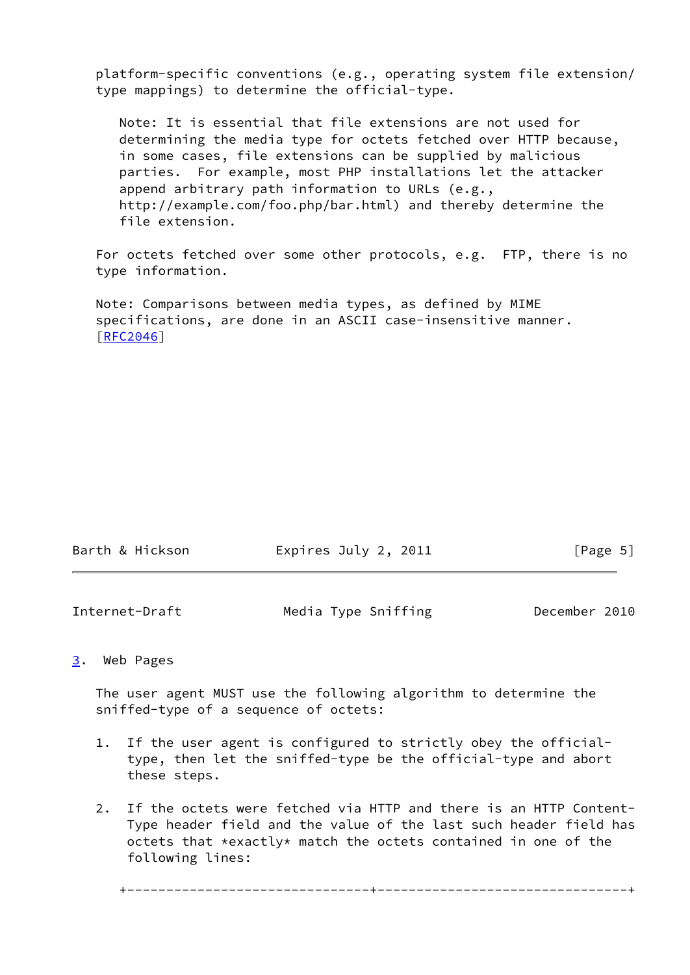platform-specific conventions (e.g., operating system file extension/ type mappings) to determine the official-type.

 Note: It is essential that file extensions are not used for determining the media type for octets fetched over HTTP because, in some cases, file extensions can be supplied by malicious parties. For example, most PHP installations let the attacker append arbitrary path information to URLs (e.g., http://example.com/foo.php/bar.html) and thereby determine the file extension.

 For octets fetched over some other protocols, e.g. FTP, there is no type information.

 Note: Comparisons between media types, as defined by MIME specifications, are done in an ASCII case-insensitive manner. [\[RFC2046](https://datatracker.ietf.org/doc/pdf/rfc2046)]

| Barth & Hickson | Expires July 2, 2011 | [Page 5] |
|-----------------|----------------------|----------|
|                 |                      |          |

<span id="page-5-1"></span>

| Internet-Draft | Media Type Sniffing | December 2010 |  |
|----------------|---------------------|---------------|--|
|                |                     |               |  |

### <span id="page-5-0"></span>[3](#page-5-0). Web Pages

 The user agent MUST use the following algorithm to determine the sniffed-type of a sequence of octets:

- 1. If the user agent is configured to strictly obey the official type, then let the sniffed-type be the official-type and abort these steps.
- 2. If the octets were fetched via HTTP and there is an HTTP Content- Type header field and the value of the last such header field has octets that \*exactly\* match the octets contained in one of the following lines:

+-------------------------------+--------------------------------+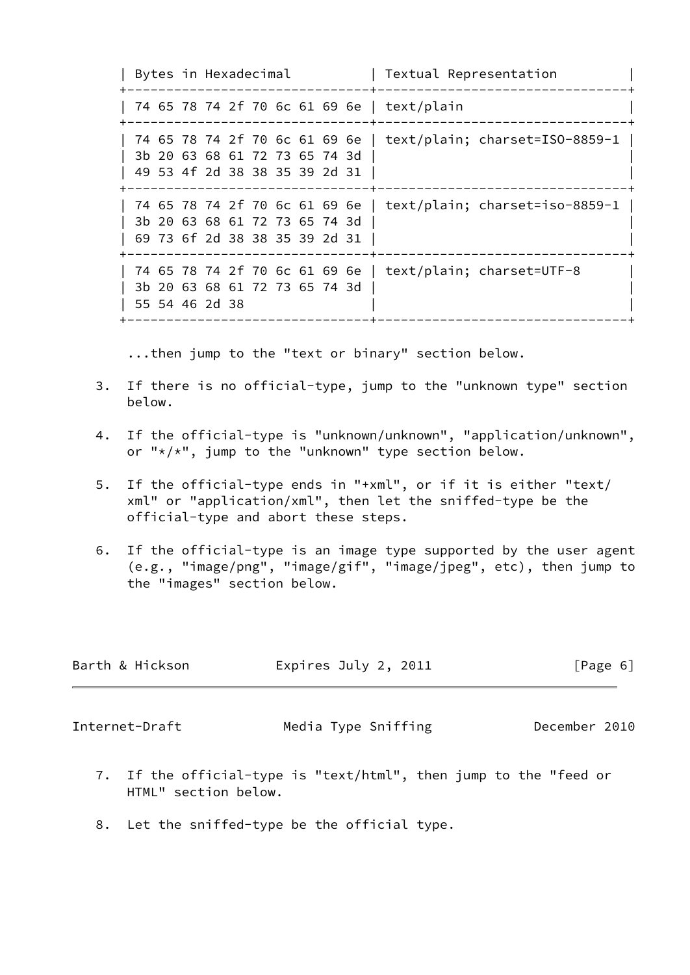| Bytes in Hexadecimal | Textual Representation +-------------------------------+--------------------------------+ | 74 65 78 74 2f 70 6c 61 69 6e | text/plain | +-------------------------------+--------------------------------+ | 74 65 78 74 2f 70 6c 61 69 6e | text/plain; charset=ISO-8859-1 | | 3b 20 63 68 61 72 73 65 74 3d | | 49 53 4f 2d 38 38 35 39 2d 31 | +-------------------------------+--------------------------------+ | 74 65 78 74 2f 70 6c 61 69 6e | text/plain; charset=iso-8859-1 | | 3b 20 63 68 61 72 73 65 74 3d | | 69 73 6f 2d 38 38 35 39 2d 31 | | +-------------------------------+--------------------------------+ | 74 65 78 74 2f 70 6c 61 69 6e | text/plain; charset=UTF-8 | | 3b 20 63 68 61 72 73 65 74 3d | | | 55 54 46 2d 38 | | +-------------------------------+--------------------------------+

...then jump to the "text or binary" section below.

- 3. If there is no official-type, jump to the "unknown type" section below.
- 4. If the official-type is "unknown/unknown", "application/unknown", or "\*/\*", jump to the "unknown" type section below.
- 5. If the official-type ends in "+xml", or if it is either "text/ xml" or "application/xml", then let the sniffed-type be the official-type and abort these steps.
- 6. If the official-type is an image type supported by the user agent (e.g., "image/png", "image/gif", "image/jpeg", etc), then jump to the "images" section below.

| Barth & Hickson | Expires July 2, 2011 | $\lceil \text{Page } 6 \rceil$ |
|-----------------|----------------------|--------------------------------|
|                 |                      |                                |
| Internet-Draft  | Media Type Sniffing  | December 2010                  |

- 7. If the official-type is "text/html", then jump to the "feed or HTML" section below.
- 8. Let the sniffed-type be the official type.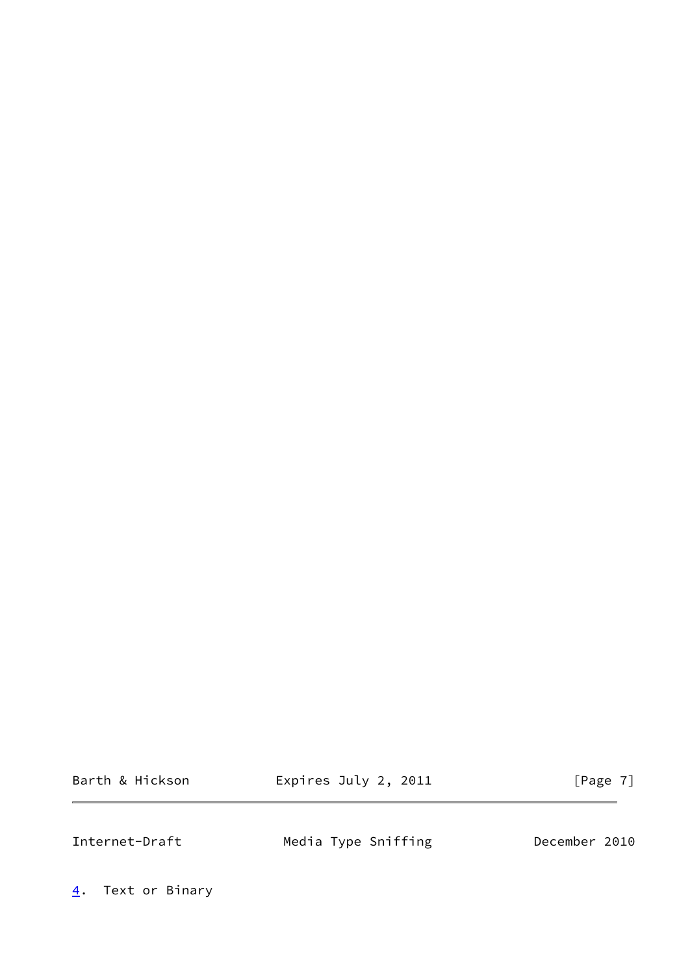Barth & Hickson **Expires July 2, 2011** [Page 7]

<span id="page-7-1"></span>Internet-Draft Media Type Sniffing December 2010

<span id="page-7-0"></span>[4](#page-7-0). Text or Binary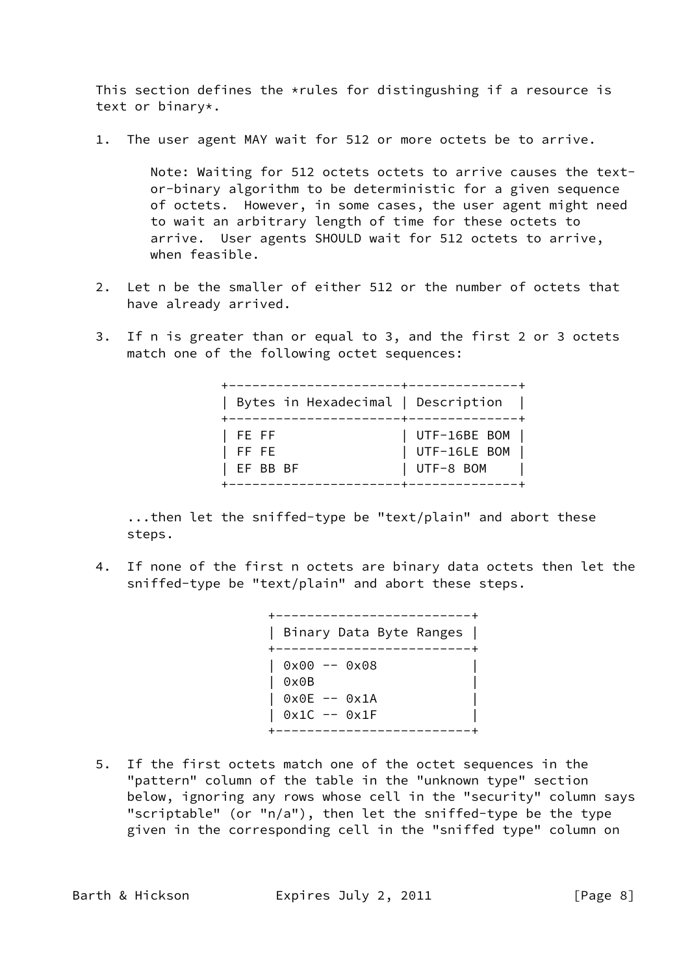This section defines the  $*$ rules for distingushing if a resource is text or binary\*.

1. The user agent MAY wait for 512 or more octets be to arrive.

 Note: Waiting for 512 octets octets to arrive causes the text or-binary algorithm to be deterministic for a given sequence of octets. However, in some cases, the user agent might need to wait an arbitrary length of time for these octets to arrive. User agents SHOULD wait for 512 octets to arrive, when feasible.

- 2. Let n be the smaller of either 512 or the number of octets that have already arrived.
- 3. If n is greater than or equal to 3, and the first 2 or 3 octets match one of the following octet sequences:

|                    | Bytes in Hexadecimal   Description |                                               |
|--------------------|------------------------------------|-----------------------------------------------|
| FE FF<br>$ $ FF FE | EF BB BF                           | UTF-16BE BOM  <br>UTF-16LE BOM<br>  UTF-8 BOM |

 ...then let the sniffed-type be "text/plain" and abort these steps.

 4. If none of the first n octets are binary data octets then let the sniffed-type be "text/plain" and abort these steps.

| Binary Data Byte Ranges  <br>$\mathbf{I}$                 |
|-----------------------------------------------------------|
| $0x00 - 0x08$<br>0x0B<br>0x0E -- 0x1A<br>$0x1C$ -- $0x1F$ |
|                                                           |

 5. If the first octets match one of the octet sequences in the "pattern" column of the table in the "unknown type" section below, ignoring any rows whose cell in the "security" column says "scriptable" (or "n/a"), then let the sniffed-type be the type given in the corresponding cell in the "sniffed type" column on

Barth & Hickson **Expires July 2, 2011** [Page 8]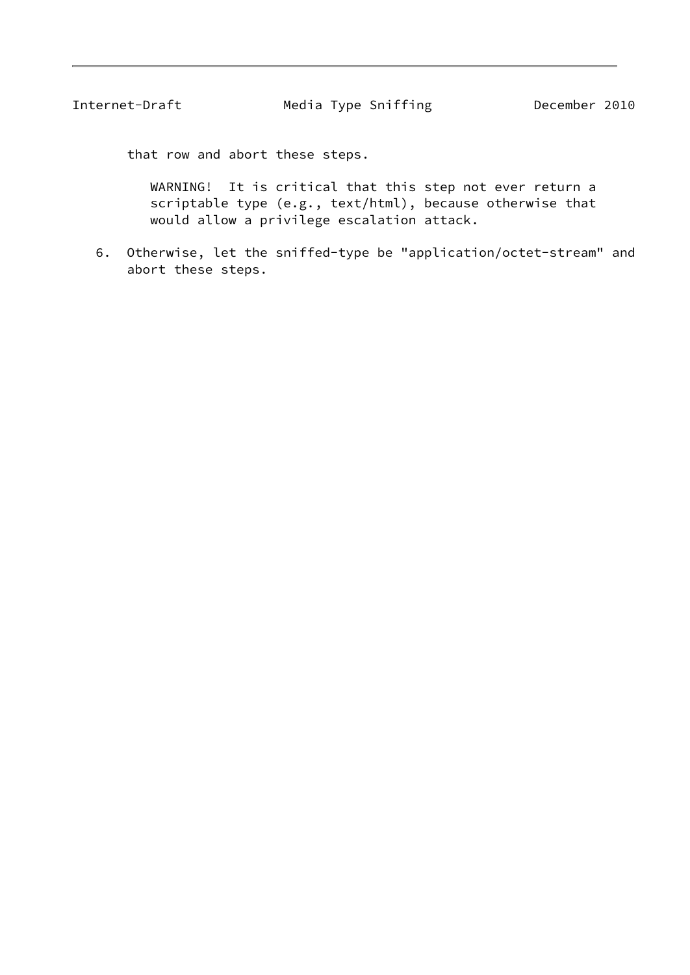Internet-Draft Media Type Sniffing December 2010

that row and abort these steps.

 WARNING! It is critical that this step not ever return a scriptable type (e.g., text/html), because otherwise that would allow a privilege escalation attack.

 6. Otherwise, let the sniffed-type be "application/octet-stream" and abort these steps.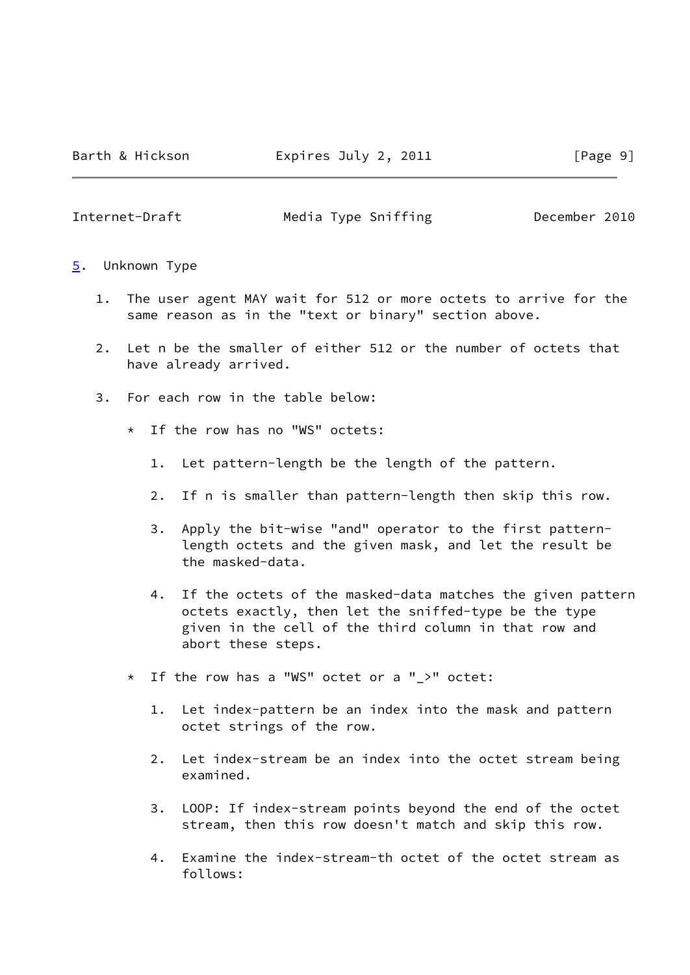<span id="page-10-1"></span>Internet-Draft Media Type Sniffing December 2010

- <span id="page-10-0"></span>[5](#page-10-0). Unknown Type
	- 1. The user agent MAY wait for 512 or more octets to arrive for the same reason as in the "text or binary" section above.
	- 2. Let n be the smaller of either 512 or the number of octets that have already arrived.
	- 3. For each row in the table below:
		- \* If the row has no "WS" octets:
			- 1. Let pattern-length be the length of the pattern.
			- 2. If n is smaller than pattern-length then skip this row.
			- 3. Apply the bit-wise "and" operator to the first pattern length octets and the given mask, and let the result be the masked-data.
			- 4. If the octets of the masked-data matches the given pattern octets exactly, then let the sniffed-type be the type given in the cell of the third column in that row and abort these steps.
		- \* If the row has a "WS" octet or a "\_>" octet:
			- 1. Let index-pattern be an index into the mask and pattern octet strings of the row.
			- 2. Let index-stream be an index into the octet stream being examined.
			- 3. LOOP: If index-stream points beyond the end of the octet stream, then this row doesn't match and skip this row.
			- 4. Examine the index-stream-th octet of the octet stream as follows: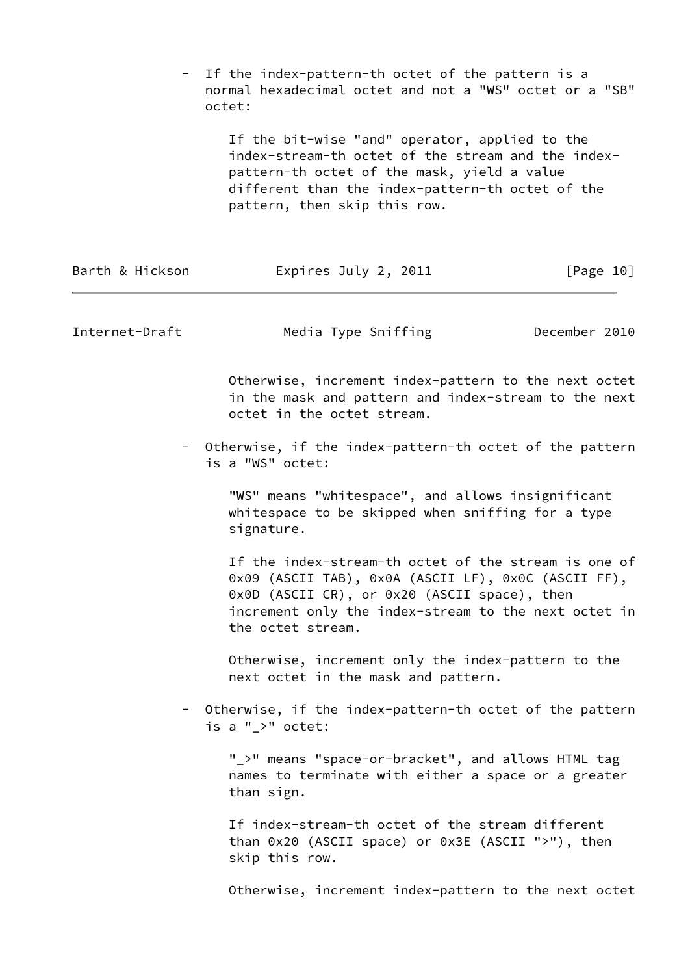|                 | If the index-pattern-th octet of the pattern is a<br>normal hexadecimal octet and not a "WS" octet or a "SB"<br>octet:                                                                                                                   |           |  |  |  |  |  |
|-----------------|------------------------------------------------------------------------------------------------------------------------------------------------------------------------------------------------------------------------------------------|-----------|--|--|--|--|--|
|                 | If the bit-wise "and" operator, applied to the<br>index-stream-th octet of the stream and the index-<br>pattern-th octet of the mask, yield a value<br>different than the index-pattern-th octet of the<br>pattern, then skip this row.  |           |  |  |  |  |  |
| Barth & Hickson | Expires July 2, 2011                                                                                                                                                                                                                     | [Page 10] |  |  |  |  |  |
| Internet-Draft  | Media Type Sniffing<br>December 2010                                                                                                                                                                                                     |           |  |  |  |  |  |
|                 | Otherwise, increment index-pattern to the next octet<br>in the mask and pattern and index-stream to the next<br>octet in the octet stream.                                                                                               |           |  |  |  |  |  |
|                 | Otherwise, if the index-pattern-th octet of the pattern<br>is a "WS" octet:                                                                                                                                                              |           |  |  |  |  |  |
|                 | "WS" means "whitespace", and allows insignificant<br>whitespace to be skipped when sniffing for a type<br>signature.                                                                                                                     |           |  |  |  |  |  |
|                 | If the index-stream-th octet of the stream is one of<br>0x09 (ASCII TAB), 0x0A (ASCII LF), 0x0C (ASCII FF),<br>0x0D (ASCII CR), or 0x20 (ASCII space), then<br>increment only the index-stream to the next octet in<br>the octet stream. |           |  |  |  |  |  |
|                 | Otherwise, increment only the index-pattern to the<br>next octet in the mask and pattern.                                                                                                                                                |           |  |  |  |  |  |
|                 | - Otherwise, if the index-pattern-th octet of the pattern<br>is a "_>" octet:                                                                                                                                                            |           |  |  |  |  |  |
|                 | "_>" means "space-or-bracket", and allows HTML tag<br>names to terminate with either a space or a greater<br>than sign.                                                                                                                  |           |  |  |  |  |  |
|                 | If index-stream-th octet of the stream different<br>than 0x20 (ASCII space) or 0x3E (ASCII ">"), then<br>skip this row.                                                                                                                  |           |  |  |  |  |  |
|                 | Otherwise, increment index-pattern to the next octet                                                                                                                                                                                     |           |  |  |  |  |  |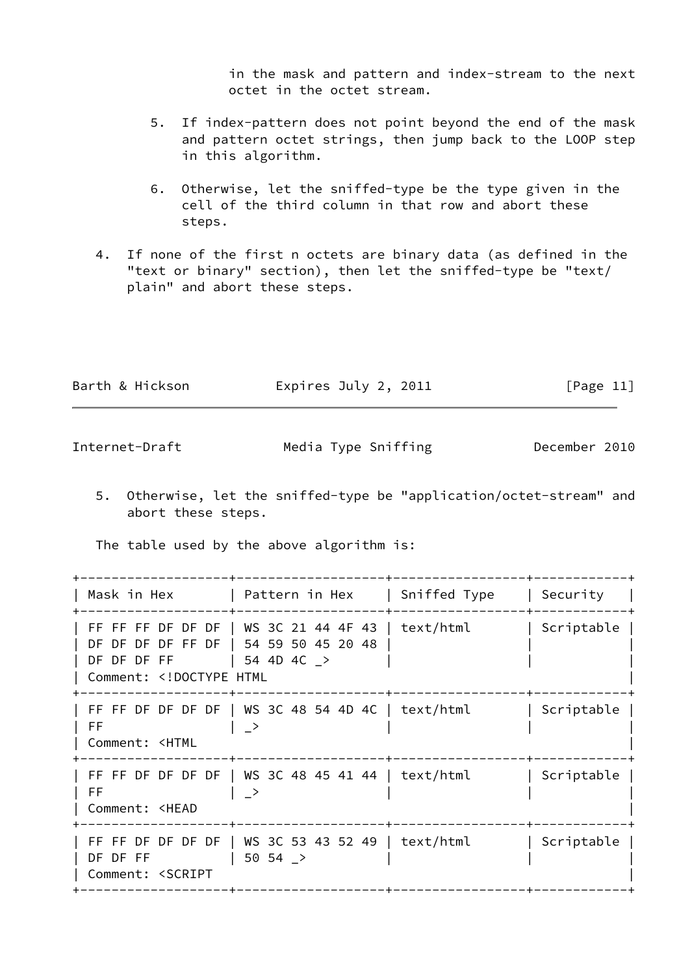in the mask and pattern and index-stream to the next octet in the octet stream.

- 5. If index-pattern does not point beyond the end of the mask and pattern octet strings, then jump back to the LOOP step in this algorithm.
- 6. Otherwise, let the sniffed-type be the type given in the cell of the third column in that row and abort these steps.
- 4. If none of the first n octets are binary data (as defined in the "text or binary" section), then let the sniffed-type be "text/ plain" and abort these steps.

| Barth & Hickson | Expires July 2, 2011 | [Page 11] |
|-----------------|----------------------|-----------|
|                 |                      |           |

Internet-Draft Media Type Sniffing December 2010

 5. Otherwise, let the sniffed-type be "application/octet-stream" and abort these steps.

The table used by the above algorithm is:

|               |                                                                                                                                                                                                                                                                                                                                                                                                                                                                        | Security                                                                                                                                                                                                                                                                      |
|---------------|------------------------------------------------------------------------------------------------------------------------------------------------------------------------------------------------------------------------------------------------------------------------------------------------------------------------------------------------------------------------------------------------------------------------------------------------------------------------|-------------------------------------------------------------------------------------------------------------------------------------------------------------------------------------------------------------------------------------------------------------------------------|
|               |                                                                                                                                                                                                                                                                                                                                                                                                                                                                        | Scriptable                                                                                                                                                                                                                                                                    |
| $\rightarrow$ |                                                                                                                                                                                                                                                                                                                                                                                                                                                                        | Scriptable                                                                                                                                                                                                                                                                    |
| ->            |                                                                                                                                                                                                                                                                                                                                                                                                                                                                        | Scriptable                                                                                                                                                                                                                                                                    |
| $50, 54$ >    |                                                                                                                                                                                                                                                                                                                                                                                                                                                                        | Scriptable                                                                                                                                                                                                                                                                    |
|               | DF DF DF DF FF DF   54 59 50 45 20 48<br>DF DF DF FF   54 4D 4C ><br>Comment: DOCTYPE HTML</td <td>Mask in Hex   Pattern in Hex   Sniffed Type<br/>FF FF FF DF DF <math>\vert</math> WS 3C 21 44 4F 43 <math>\vert</math> text/html<br/>FF FF DF DF DF <math> </math> WS 3C 48 54 4D 4C <math> </math> text/html<br/>FF FF DF DF DF <math> </math> WS 3C 48 45 41 44 <math> </math> text/html<br/>FF FF DF DF DF <math>\vert</math> WS 3C 53 43 52 49   text/html</td> | Mask in Hex   Pattern in Hex   Sniffed Type<br>FF FF FF DF DF $\vert$ WS 3C 21 44 4F 43 $\vert$ text/html<br>FF FF DF DF DF $ $ WS 3C 48 54 4D 4C $ $ text/html<br>FF FF DF DF DF $ $ WS 3C 48 45 41 44 $ $ text/html<br>FF FF DF DF DF $\vert$ WS 3C 53 43 52 49   text/html |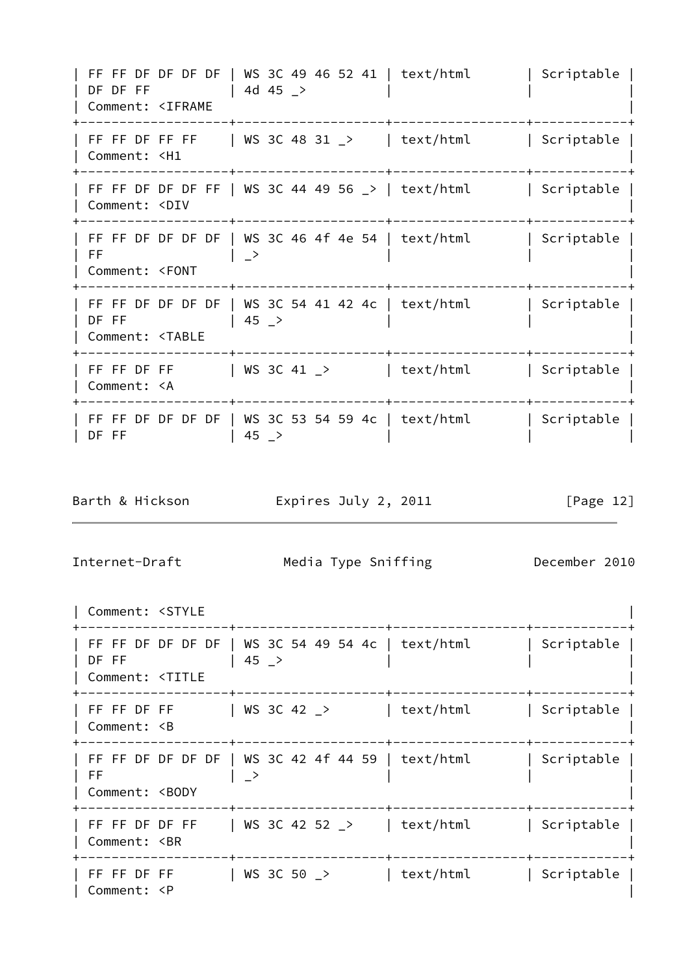| FF FF DF DF DF DF | WS 3C 49 46 52 41 | text/html | Scriptable |  $\begin{array}{|c|c|c|c|c|}\n\hline\n\end{array}$  DF DF FF  $\begin{array}{|c|c|c|c|c|}\n\hline\n\end{array}$  4d 45  $\verb|=>$ | Comment: <IFRAME | +-------------------+-------------------+-----------------+------------+ | FF FF DF FF FF | WS 3C 48 31 \_> | text/html | Scriptable | | Comment: <H1 | +-------------------+-------------------+-----------------+------------+ | FF FF DF DF DF FF | WS 3C 44 49 56 \_> | text/html | Scriptable | | Comment: <DIV | +-------------------+-------------------+-----------------+------------+ | FF FF DF DF DF | WS 3C 46 4f 4e 54 | text/html | Scriptable | | FF | \_> | | | | Comment: <FONT | +-------------------+-------------------+-----------------+------------+ | FF FF DF DF DF | WS 3C 54 41 42 4c | text/html | Scriptable |  $|$  DF FF  $|$  45  $\ge$   $|$ | Comment: <TABLE | +-------------------+-------------------+-----------------+------------+ | FF FF DF FF | WS 3C 41 \_> | text/html | Scriptable | | Comment: <A | +-------------------+-------------------+-----------------+------------+ | FF FF DF DF DF DF | WS 3C 53 54 59 4c | text/html | Scriptable | | DF FF | | 45 \_> Barth & Hickson **Expires July 2, 2011** [Page 12] Internet-Draft Media Type Sniffing December 2010 | Comment: <STYLE | +-------------------+-------------------+-----------------+------------+ | FF FF DF DF DF DF | WS 3C 54 49 54 4c | text/html | Scriptable | | DF FF | | 45 \_> | Comment: <TITLE | +-------------------+-------------------+-----------------+------------+ | FF FF DF FF | WS 3C 42 \_> | text/html | Scriptable | | Comment: <B | +-------------------+-------------------+-----------------+------------+ | FF FF DF DF DF DF | WS 3C 42 4f 44 59 | text/html | Scriptable | | FF | \_> | | | | Comment: <BODY | +-------------------+-------------------+-----------------+------------+ | FF FF DF DF FF | WS 3C 42 52 \_> | text/html | Scriptable | | Comment: <BR | +-------------------+-------------------+-----------------+------------+  $|$  FF FF DF FF  $|$  WS 3C 50  $\ge$   $|$  text/html  $|$  Scriptable  $|$ | Comment: <P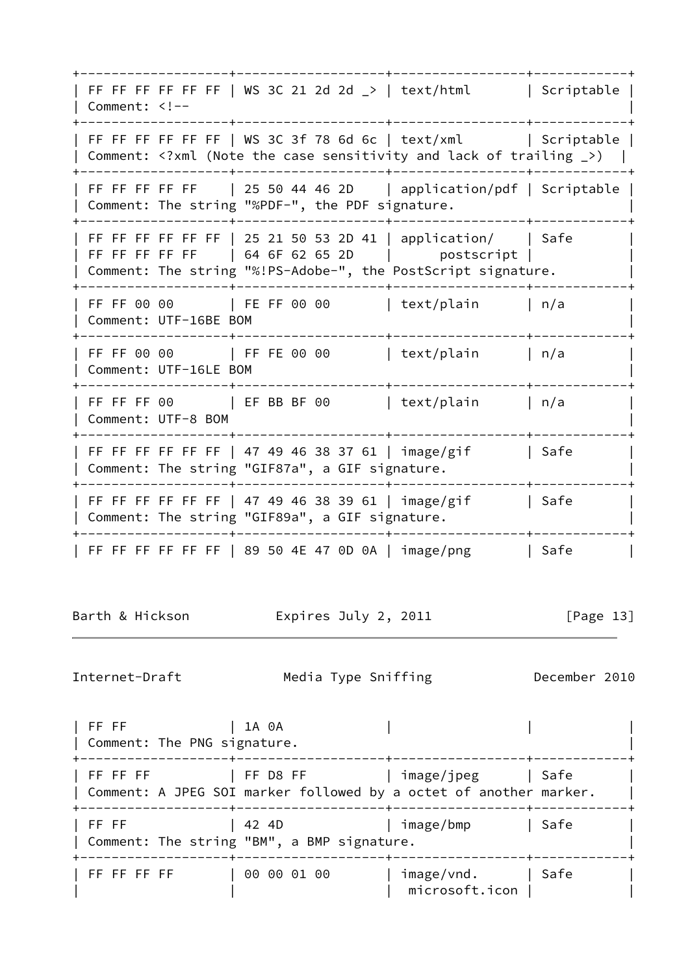+-------------------+-------------------+-----------------+------------+ FF FF FF FF FF FF | WS 3C 21 2d 2d  $\ge$  | text/html | Scriptable | | Comment: <!--+-------------------+-------------------+-----------------+------------+ | FF FF FF FF FF FF | WS 3C 3f 78 6d 6c | text/xml | Scriptable | | Comment: <?xml (Note the case sensitivity and lack of trailing \_>) | +-------------------+-------------------+-----------------+------------+ | FF FF FF FF FF | 25 50 44 46 2D | application/pdf | Scriptable | | Comment: The string "%PDF-", the PDF signature. +-------------------+-------------------+-----------------+------------+ | FF FF FF FF FF FF | 25 21 50 53 2D 41 | application/ | Safe | FF FF FF FF FF | 64 6F 62 65 2D | postscript | | | Comment: The string "%!PS-Adobe-", the PostScript signature. | +-------------------+-------------------+-----------------+------------+ | FF FF 00 00 | FE FF 00 00 | text/plain | n/a | | Comment: UTF-16BE BOM | +-------------------+-------------------+-----------------+------------+ | FF FF 00 00 | FF FE 00 00 | text/plain | n/a | | Comment: UTF-16LE BOM | +-------------------+-------------------+-----------------+------------+ | FF FF FF 00 | EF BB BF 00 | text/plain | n/a | | Comment: UTF-8 BOM | +-------------------+-------------------+-----------------+------------+ | FF FF FF FF FF FF | 47 49 46 38 37 61 | image/gif | Safe | Comment: The string "GIF87a", a GIF signature. | +-------------------+-------------------+-----------------+------------+ | FF FF FF FF FF FF | 47 49 46 38 39 61 | image/gif | Safe | Comment: The string "GIF89a", a GIF signature. | +-------------------+-------------------+-----------------+------------+ | FF FF FF FF FF | 89 50 4E 47 0D 0A | image/png | Safe Barth & Hickson **Expires July 2, 2011** [Page 13] Internet-Draft Media Type Sniffing December 2010 | FF FF | | 1A 0A | Comment: The PNG signature. | +-------------------+-------------------+-----------------+------------+ | FF FF FF | FF D8 FF | image/jpeg | Safe | Comment: A JPEG SOI marker followed by a octet of another marker. +-------------------+-------------------+-----------------+------------+ | FF FF | 42 4D | image/bmp | Safe | Comment: The string "BM", a BMP signature. | +-------------------+-------------------+-----------------+------------+ | FF FF FF FF | 00 00 01 00 | image/vnd. | Safe

 $|$  microsoft.icon  $|$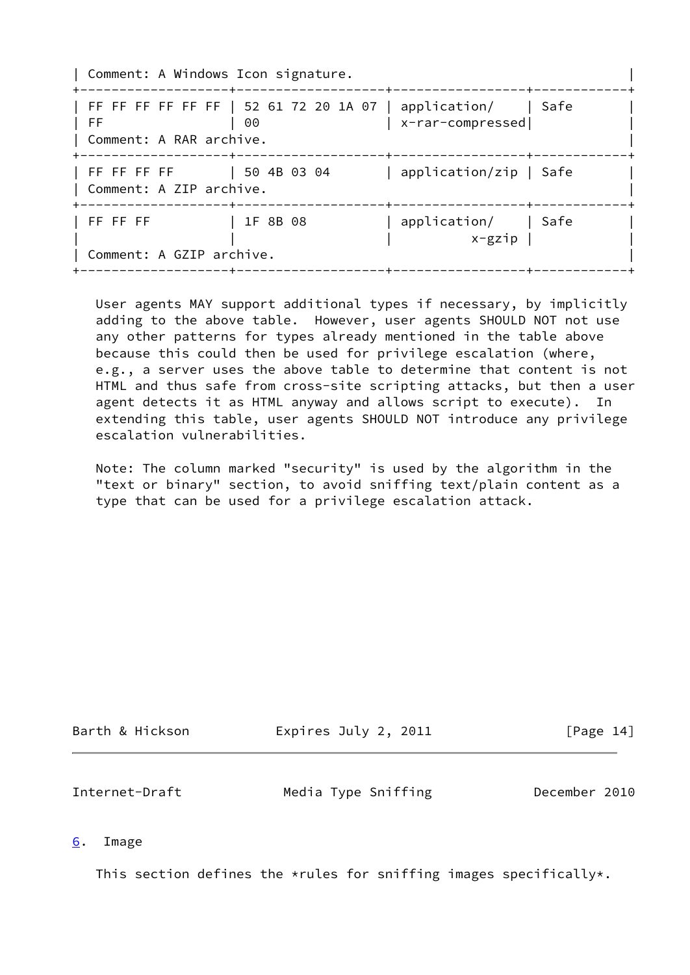| Comment: A Windows Icon signature.                            |                                                                |                                             |  |
|---------------------------------------------------------------|----------------------------------------------------------------|---------------------------------------------|--|
| I FF<br>  Comment: A RAR archive.<br>-------------------+---- | FF FF FF FF FF   52 61 72 20 1A 07   application/   Safe<br>00 | x-rar-compressed <br>------+----------      |  |
| FF FF FF FF   50 4B 03 04<br>  Comment: A ZIP archive.        |                                                                | application/zip   Safe                      |  |
| -----------+-<br>$ $ FF FF FF<br>Comment: A GZIP archive.     | 1F 8B 08                                                       | --------+-<br>application/   Safe<br>x-gzip |  |

 User agents MAY support additional types if necessary, by implicitly adding to the above table. However, user agents SHOULD NOT not use any other patterns for types already mentioned in the table above because this could then be used for privilege escalation (where, e.g., a server uses the above table to determine that content is not HTML and thus safe from cross-site scripting attacks, but then a user agent detects it as HTML anyway and allows script to execute). In extending this table, user agents SHOULD NOT introduce any privilege escalation vulnerabilities.

 Note: The column marked "security" is used by the algorithm in the "text or binary" section, to avoid sniffing text/plain content as a type that can be used for a privilege escalation attack.

<span id="page-15-1"></span>

| Barth & Hickson | Expires July 2, 2011 | [Page 14]     |  |
|-----------------|----------------------|---------------|--|
| Internet-Draft  | Media Type Sniffing  | December 2010 |  |

<span id="page-15-0"></span>[6](#page-15-0). Image

This section defines the \*rules for sniffing images specifically\*.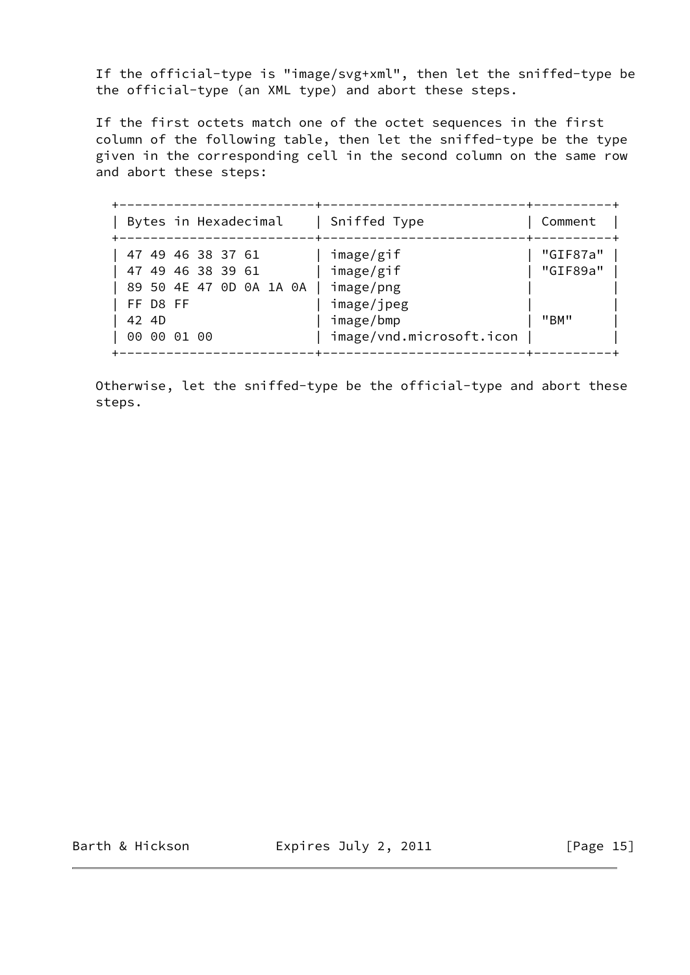If the official-type is "image/svg+xml", then let the sniffed-type be the official-type (an XML type) and abort these steps.

 If the first octets match one of the octet sequences in the first column of the following table, then let the sniffed-type be the type given in the corresponding cell in the second column on the same row and abort these steps:

| Bytes in Hexadecimal                                                                                    | Sniffed Type                                                                               | Comment                      |
|---------------------------------------------------------------------------------------------------------|--------------------------------------------------------------------------------------------|------------------------------|
| 47 49 46 38 37 61<br>47 49 46 38 39 61<br>89 50 4E 47 0D 0A 1A 0A  <br>FF D8 FF<br>42 4D<br>00 00 01 00 | image/gif<br>image/gif<br>image/png<br>image/jpeg<br>image/bmp<br>image/vnd.microsoft.icon | "GIF87a"<br>"GIF89a"<br>"BM" |

 Otherwise, let the sniffed-type be the official-type and abort these steps.

Barth & Hickson **Expires July 2, 2011** [Page 15]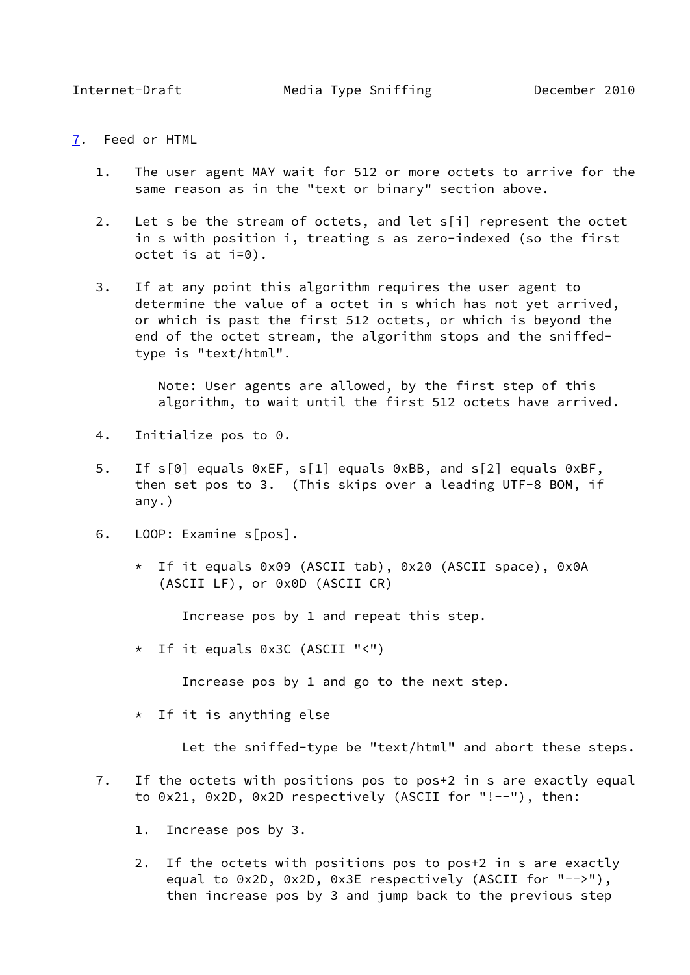- <span id="page-17-1"></span><span id="page-17-0"></span>[7](#page-17-0). Feed or HTML
	- 1. The user agent MAY wait for 512 or more octets to arrive for the same reason as in the "text or binary" section above.
	- 2. Let s be the stream of octets, and let s[i] represent the octet in s with position i, treating s as zero-indexed (so the first octet is at i=0).
	- 3. If at any point this algorithm requires the user agent to determine the value of a octet in s which has not yet arrived, or which is past the first 512 octets, or which is beyond the end of the octet stream, the algorithm stops and the sniffed type is "text/html".

 Note: User agents are allowed, by the first step of this algorithm, to wait until the first 512 octets have arrived.

- 4. Initialize pos to 0.
- 5. If s[0] equals 0xEF, s[1] equals 0xBB, and s[2] equals 0xBF, then set pos to 3. (This skips over a leading UTF-8 BOM, if any.)
- 6. LOOP: Examine s[pos].
	- \* If it equals 0x09 (ASCII tab), 0x20 (ASCII space), 0x0A (ASCII LF), or 0x0D (ASCII CR)

Increase pos by 1 and repeat this step.

\* If it equals 0x3C (ASCII "<")

Increase pos by 1 and go to the next step.

\* If it is anything else

Let the sniffed-type be "text/html" and abort these steps.

- 7. If the octets with positions pos to pos+2 in s are exactly equal to 0x21, 0x2D, 0x2D respectively (ASCII for "!--"), then:
	- 1. Increase pos by 3.
	- 2. If the octets with positions pos to pos+2 in s are exactly equal to 0x2D, 0x2D, 0x3E respectively (ASCII for "-->"), then increase pos by 3 and jump back to the previous step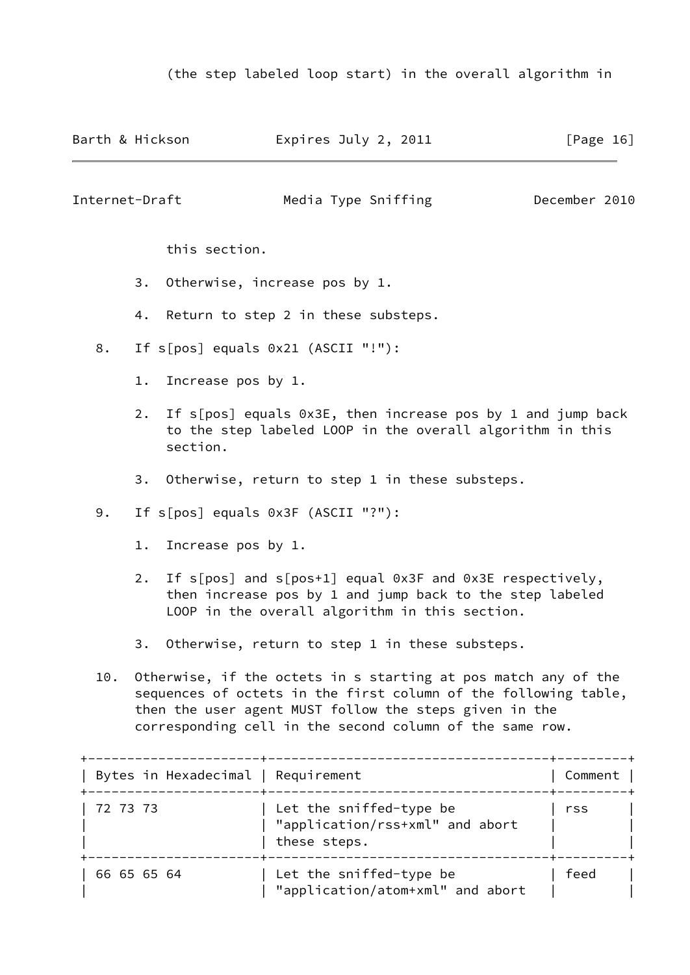| Barth & Hickson                                                                                                                                                                                                                          |                                    |                    |                                                                                                                          | Expires July 2, 2011                                                                                                                                                                                                                                    | [Page $16$ ]  |
|------------------------------------------------------------------------------------------------------------------------------------------------------------------------------------------------------------------------------------------|------------------------------------|--------------------|--------------------------------------------------------------------------------------------------------------------------|---------------------------------------------------------------------------------------------------------------------------------------------------------------------------------------------------------------------------------------------------------|---------------|
| Internet-Draft                                                                                                                                                                                                                           |                                    |                    |                                                                                                                          | Media Type Sniffing                                                                                                                                                                                                                                     | December 2010 |
|                                                                                                                                                                                                                                          |                                    |                    | this section.                                                                                                            |                                                                                                                                                                                                                                                         |               |
|                                                                                                                                                                                                                                          |                                    | 3.                 |                                                                                                                          | Otherwise, increase pos by 1.                                                                                                                                                                                                                           |               |
|                                                                                                                                                                                                                                          |                                    | 4.                 |                                                                                                                          | Return to step 2 in these substeps.                                                                                                                                                                                                                     |               |
| 8.                                                                                                                                                                                                                                       | If s[pos] equals 0x21 (ASCII "!"): |                    |                                                                                                                          |                                                                                                                                                                                                                                                         |               |
| $1$ .<br>2.<br>section.                                                                                                                                                                                                                  |                                    | Increase pos by 1. |                                                                                                                          |                                                                                                                                                                                                                                                         |               |
|                                                                                                                                                                                                                                          |                                    |                    | If s[pos] equals 0x3E, then increase pos by 1 and jump back<br>to the step labeled LOOP in the overall algorithm in this |                                                                                                                                                                                                                                                         |               |
|                                                                                                                                                                                                                                          |                                    |                    |                                                                                                                          | 3. Otherwise, return to step 1 in these substeps.                                                                                                                                                                                                       |               |
| 9.                                                                                                                                                                                                                                       |                                    |                    |                                                                                                                          | If s[pos] equals 0x3F (ASCII "?"):                                                                                                                                                                                                                      |               |
|                                                                                                                                                                                                                                          | $1$ .                              |                    | Increase pos by 1.                                                                                                       |                                                                                                                                                                                                                                                         |               |
| If $s[pos]$ and $s[pos+1]$ equal 0x3F and 0x3E respectively,<br>2.<br>then increase pos by 1 and jump back to the step labeled<br>LOOP in the overall algorithm in this section.<br>Otherwise, return to step 1 in these substeps.<br>3. |                                    |                    |                                                                                                                          |                                                                                                                                                                                                                                                         |               |
|                                                                                                                                                                                                                                          |                                    |                    |                                                                                                                          |                                                                                                                                                                                                                                                         |               |
| 10.                                                                                                                                                                                                                                      |                                    |                    |                                                                                                                          | Otherwise, if the octets in s starting at pos match any of the<br>sequences of octets in the first column of the following table,<br>then the user agent MUST follow the steps given in the<br>corresponding cell in the second column of the same row. |               |
|                                                                                                                                                                                                                                          |                                    |                    | Bytes in Hexadecimal   Requirement                                                                                       |                                                                                                                                                                                                                                                         | Comment       |
|                                                                                                                                                                                                                                          | 72 73 73                           |                    |                                                                                                                          | Let the sniffed-type be<br>"application/rss+xml" and abort                                                                                                                                                                                              | rss           |

|             | these steps.                                                |      |  |
|-------------|-------------------------------------------------------------|------|--|
| 66 65 65 64 | Let the sniffed-type be<br>"application/atom+xml" and abort | feed |  |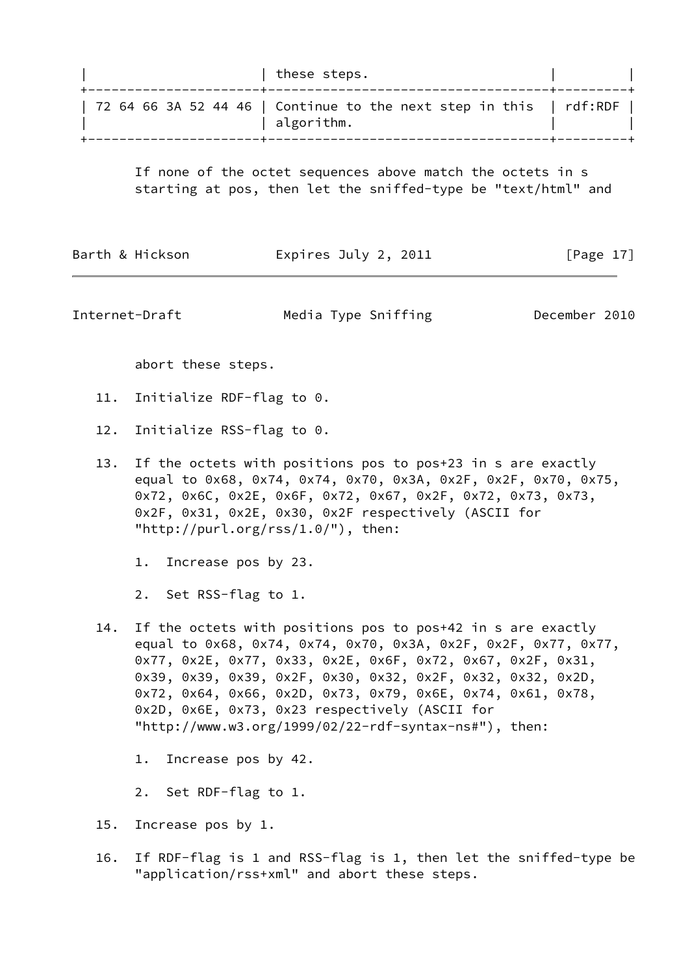| these steps.                                                                       |  |
|------------------------------------------------------------------------------------|--|
| 72 64 66 3A 52 44 46   Continue to the next step in this   rdf:RDF  <br>algorithm. |  |
|                                                                                    |  |

 If none of the octet sequences above match the octets in s starting at pos, then let the sniffed-type be "text/html" and

| Barth & Hickson | Expires July 2, 2011 | [Page $17$ ] |
|-----------------|----------------------|--------------|
|                 |                      |              |

Internet-Draft Media Type Sniffing December 2010

abort these steps.

- 11. Initialize RDF-flag to 0.
- 12. Initialize RSS-flag to 0.
- 13. If the octets with positions pos to pos+23 in s are exactly equal to 0x68, 0x74, 0x74, 0x70, 0x3A, 0x2F, 0x2F, 0x70, 0x75, 0x72, 0x6C, 0x2E, 0x6F, 0x72, 0x67, 0x2F, 0x72, 0x73, 0x73, 0x2F, 0x31, 0x2E, 0x30, 0x2F respectively (ASCII for "http://purl.org/rss/1.0/"), then:

1. Increase pos by 23.

2. Set RSS-flag to 1.

 14. If the octets with positions pos to pos+42 in s are exactly equal to 0x68, 0x74, 0x74, 0x70, 0x3A, 0x2F, 0x2F, 0x77, 0x77, 0x77, 0x2E, 0x77, 0x33, 0x2E, 0x6F, 0x72, 0x67, 0x2F, 0x31, 0x39, 0x39, 0x39, 0x2F, 0x30, 0x32, 0x2F, 0x32, 0x32, 0x2D, 0x72, 0x64, 0x66, 0x2D, 0x73, 0x79, 0x6E, 0x74, 0x61, 0x78, 0x2D, 0x6E, 0x73, 0x23 respectively (ASCII for "http://www.w3.org/1999/02/22-rdf-syntax-ns#"), then:

1. Increase pos by 42.

2. Set RDF-flag to 1.

- 15. Increase pos by 1.
- 16. If RDF-flag is 1 and RSS-flag is 1, then let the sniffed-type be "application/rss+xml" and abort these steps.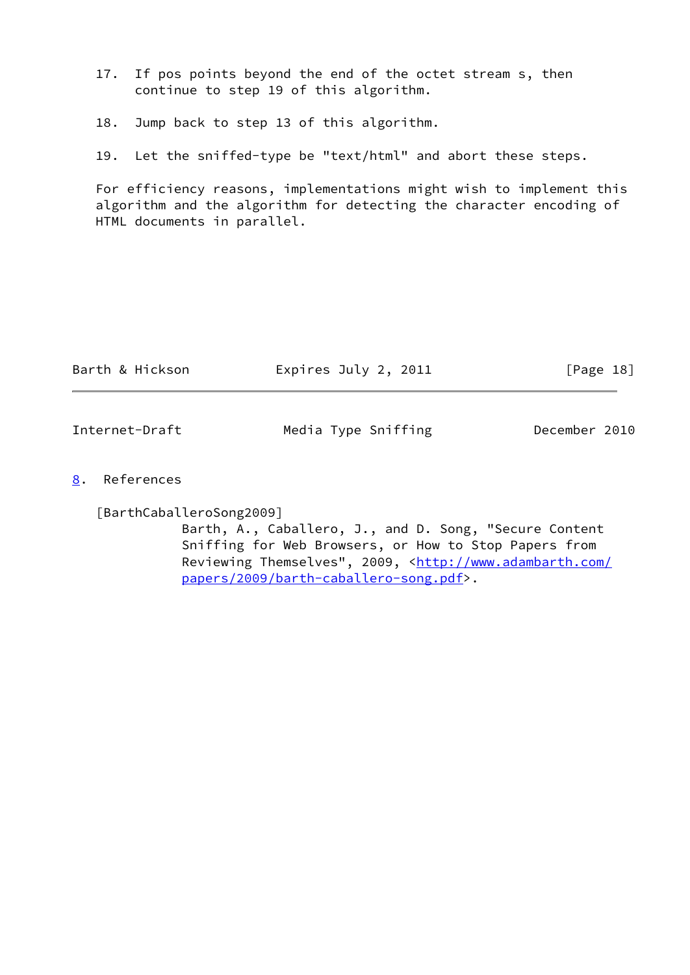- 17. If pos points beyond the end of the octet stream s, then continue to step 19 of this algorithm.
- 18. Jump back to step 13 of this algorithm.
- 19. Let the sniffed-type be "text/html" and abort these steps.

 For efficiency reasons, implementations might wish to implement this algorithm and the algorithm for detecting the character encoding of HTML documents in parallel.

<span id="page-20-1"></span>

| Barth & Hickson | Expires July 2, 2011 | $\lceil \text{Page 18} \rceil$ |
|-----------------|----------------------|--------------------------------|
|                 |                      |                                |
| Internet-Draft  | Media Type Sniffing  | December 2010                  |

<span id="page-20-0"></span>[8](#page-20-0). References

<span id="page-20-2"></span>[BarthCaballeroSong2009]

 Barth, A., Caballero, J., and D. Song, "Secure Content Sniffing for Web Browsers, or How to Stop Papers from Reviewing Themselves", 2009, [<http://www.adambarth.com/](http://www.adambarth.com/papers/2009/barth-caballero-song.pdf) [papers/2009/barth-caballero-song.pdf>](http://www.adambarth.com/papers/2009/barth-caballero-song.pdf).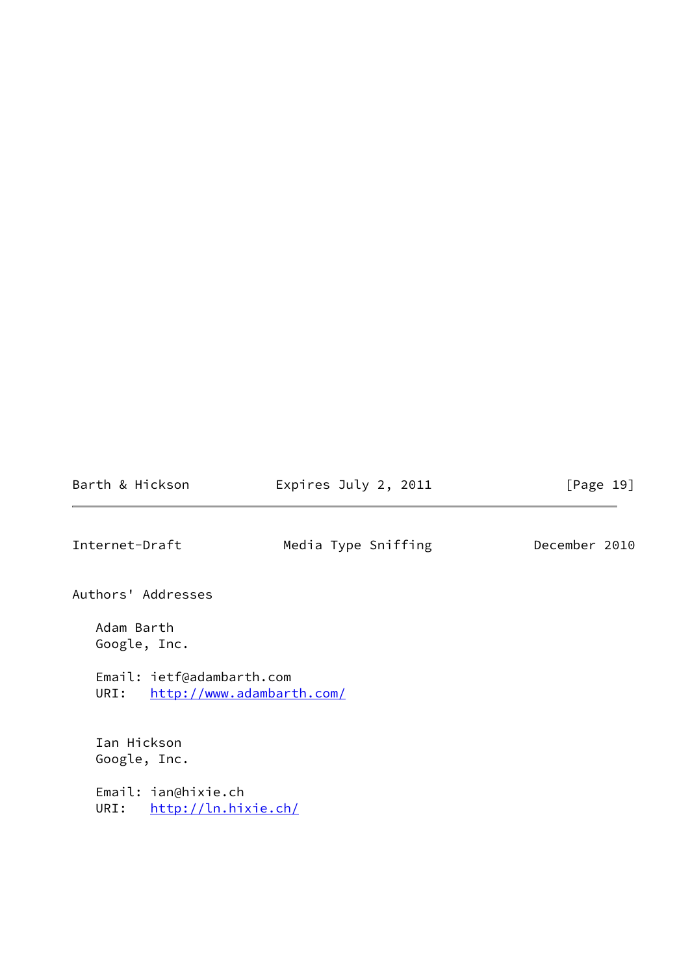Barth & Hickson **Expires July 2, 2011** [Page 19]

<span id="page-21-0"></span>Internet-Draft Media Type Sniffing December 2010

Authors' Addresses

 Adam Barth Google, Inc.

 Email: ietf@adambarth.com URI: <http://www.adambarth.com/>

 Ian Hickson Google, Inc. Email: ian@hixie.ch

URI: <http://ln.hixie.ch/>